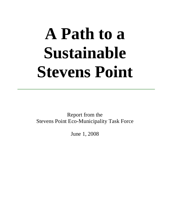# **A Path to a Sustainable Stevens Point**

Report from the Stevens Point Eco-Municipality Task Force

June 1, 2008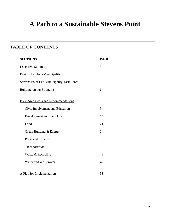## **A Path to a Sustainable Stevens Point**

## **TABLE OF CONTENTS**

| <b>SECTIONS</b>                                  | <b>PAGE</b> |
|--------------------------------------------------|-------------|
| <b>Executive Summary</b>                         | 3           |
| Basics of an Eco-Municipality                    | 4           |
| <b>Stevens Point Eco-Municipality Task Force</b> | 5           |
| Building on our Strengths                        | 6           |
| <b>Issue Area Goals and Recommendations</b>      |             |
| Civic Involvement and Education                  | 9           |
| Development and Land Use                         | 15          |
| Food                                             | 21          |
| Green Building & Energy                          | 24          |
| Parks and Tourism                                | 32          |
| Transportation                                   | 36          |
| Waste & Recycling                                | 43          |
| Water and Wastewater                             | 47          |
| A Plan for Implementation                        | 53          |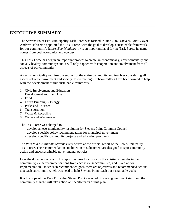## **EXECUTIVE SUMMARY**

The Stevens Point Eco-Municipality Task Force was formed in June 2007. Stevens Point Mayor Andrew Halverson appointed the Task Force, with the goal to develop a sustainable framework for our community's future. *Eco-Municipality* is an important label for the Task Force. Its name comes from both economics and ecology.

This Task Force has begun an important process to create an economically, environmentally and socially healthy community; and it will only happen with cooperation and involvement from all aspects of our community.

An eco-municipality requires the support of the entire community and involves considering all aspects of our environment and society. Therefore eight subcommittees have been formed to help with the development of this sustainable framework.

- 1. Civic Involvement and Education
- 2. Development and Land Use
- 3. Food
- 4. Green Building & Energy
- 5. Parks and Tourism
- 6. Transportation
- 7. Waste & Recycling
- 8. Water and Wastewater

The Task Force was charged to:

- develop an eco-municipality resolution for Stevens Point Common Council
- develop specific policy recommendations for municipal government
- develop specific community projects and education programs

*The Path to a Sustainable Stevens Point* serves as the official report of the Eco-Municipality Task Force. The recommendations included in this document are designed to spur community action and enact sustainable governmental policies.

How the document works: This report features 1) a focus on the existing strengths in the community; 2) the recommendations from each issue subcommittee; and 3) a plan for implementation. Under each recommended goal, there are objectives and recommended actions that each subcommittee felt was need to help Stevens Point reach our sustainable goals.

It is the hope of the Task Force that Steven Point's elected officials, government staff, and the community at large will take action on specific parts of this plan.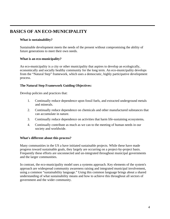## **BASICS OF AN ECO-MUNICIPALITY**

#### **What is sustainability?**

Sustainable development meets the needs of the present without compromising the ability of future generations to meet their own needs.

#### **What is an eco-municipality?**

An eco-municipality is a city or other municipality that aspires to develop an ecologically, economically and socially healthy community for the long term. An eco-municipality develops from the "Natural Step" framework, which uses a democratic, highly participative development process.

#### **The Natural Step Framework Guiding Objectives:**

Develop policies and practices that:

- 1. Continually reduce dependence upon fossil fuels, and extracted underground metals and minerals.
- 2. Continually reduce dependence on chemicals and other manufactured substances that can accumulate in nature.
- 3. Continually reduce dependence on activities that harm life-sustaining ecosystems**.**
- 4. Continually contribute as much as we can to the meeting of human needs in our society and worldwide.

#### **What's different about this process?**

Many communities in the US a have initiated sustainable projects. While these have made progress toward sustainable goals, they largely are occurring on a project-by-project basis. Frequently these efforts are unconnected and un-integrated throughout municipal governments and the larger communities.

In contrast, the eco-municipality model uses a systems approach. Key elements of the system's approach are widespread community awareness raising and integrated municipal involvement, using a common "sustainability language." Using this common language brings about a shared understanding of what sustainability means and how to achieve this throughout all sectors of government and the wider community.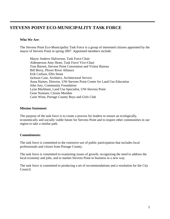## **STEVENS POINT ECO-MUNICIPALITY TASK FORCE**

#### **Who We Are**:

The Stevens Point Eco-Municipality Task Force is a group of interested citizens appointed by the mayor of Stevens Point in spring 2007. Appointed members include:

Mayor Andrew Halverson, Task Force Chair Alderperson Amy Heart, Task Force Vice-Chair Tom Barrett, Stevens Point Convention and Visitor Bureau Bill Berry, Plover River Alliance Erik Carlson, Ellis Stone Jackson Case, Architect, Architectural Service Anna Haines, Director, UW-Stevens Point Center for Land Use Education John Jury, Community Foundation Lynn Markham, Land Use Specialist, UW-Stevens Point Gene Numsen, Citizen Member Carie Winn, Portage County Boys and Girls Club

#### **Mission Statement**:

The purpose of the task force is to create a process for leaders to ensure an ecologically, economically and socially viable future for Stevens Point and to inspire other communities in our region to take a similar path.

#### **Commitments**:

The task force is committed to the extensive use of public participation that includes local professionals and citizen from Portage County.

The task force is committed to examining issues of growth, recognizing the need to address the local economy and jobs, and to market Stevens Point to business in a new way.

The task force is committed to producing a set of recommendations and a resolution for the City Council.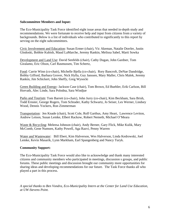#### **Subcommittee Members and Input:**

The Eco-Municipality Task Force identified eight issue areas that needed in-depth study and recommendations. We were fortunate to receive help and input from citizens from a variety of backgrounds. Below is a list of individuals who contributed to significantly to this report by serving on the eight subcommittees.

Civic Involvement and Education: Susan Ermer (chair), Vic Akeman, Natalie Dorrler, Justin Glodoski, Bobbie Kubish, Maud LaMarche, Jeremy Rankin, Melissa Sabel, Marti Sowka

Development and Land Use: David Senfelds (chair), Cathy Dugan, John Gardner, Tom Giralamo, Eric Olson, Carl Rasmussen, Tim Schertz,

Food: Carrie Winn (co-chair), Michelle Bjella (co-chair), Rory Bancroft, DeNae Dandridge, Bobby Gifford, Barbara Grover, Nick Hylla, Guy Janssen, Mary Maller, Chris Malek, Jeremy Rankin, Jim Schickert, John Sheffy, Greg Wysocki

Green Building and Energy: Jackson Case (chair), Tom Brown, Ed Buehler, Erik Carlson, Bill Horvath, Alec Linde, Sara Polodna, Sara Windjue

Parks and Tourism: Tom Barrett (co-chair), John Jurry (co-chair), Kim Beckham, Sara Brish, Todd Ernster, George Rogers, Tom Schrader, Kathy Schwartz, Jo Seiser, Les Werner, Lindsey Wood, Dennis Yockers, Ron Zimmerman

Transportation: Jen Knade (chair), Scott Cole, Rolf Garthus, Amy Heart, Lawrence Leviton, Andrew Letson, Susan Lemke, Elbert Rackow, Robert Nemeth, Michael O'Meara

Waste & Recycling: Meleesa Johnson (chair), Andy Berner, Gary Flick, Mike Kulik, Mary McComb, Gene Numsen, Kathy Powell, Aga Razvi, Penny Warren

Water and Wastewater: Bill Ebert, Kim Halverson, Wes Halverson, Linda Kedrowski, Joel Lemke, Kevin Masarik, Lynn Markham, Earl Spangenberg and Nancy Turyk.

#### **Community Support:**

The Eco-Municipality Task Force would also like to acknowledge and thank many interested citizens and community members who participated in meetings, discussion s groups, and public forums. These public meetings and discussion brought our community more opportunities for sharing ideas and developing recommendations for our future. The Task Force thanks all who played a part in this process.

*A special thanks to Ben Vondra, Eco-Municipality Intern at the Center for Land Use Education, at UW-Stevens Point.*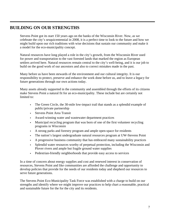## **BUILDING ON OUR STRENGTHS**

Stevens Point got its start 150 years ago on the banks of the Wisconsin River. Now, as we celebrate the city's sesquicentennial in 2008, it is a perfect time to look to the future and how we might build upon our rich traditions with wise decisions that sustain our community and make it a model for the eco-municipality concept.

Natural resources have long played a role in the city's growth, from the Wisconsin River used for power and transportation to the vast forested lands that marked the region as European settlers arrived here. Natural resources remain central to the city's well-being, and it is our job to build on the good work of our ancestors and also to correct mistakes made in the past.

Many before us have been stewards of the environment and our cultural integrity. It is our responsibility to protect, preserve and enhance the work done before us, and to leave a legacy for future generations through our own actions today.

Many assets already supported in the community and assembled through the efforts of its citizens make Stevens Point a natural fit for an eco-municipality. These include but are certainly not limited to:

- The Green Circle, the 30-mile low-impact trail that stands as a splendid example of public/private partnership
- Stevens Point Area Transit
- Award-winning water and wastewater department practices
- Municipal recycling program that was born of one of the first volunteer recycling programs in Wisconsin
- A strong parks and forestry program and ample open-space for residents
- The nation's largest undergraduate natural resources program at UW-Stevens Point
- A progressive business community that has embraced many sustainability practices
- Splendid water resources worthy of perpetual protection, including the Wisconsin and Plover rivers and ample but fragile ground water supplies
- Pedestrian-friendly neighborhoods that provide easy access to services

In a time of concern about energy supplies and cost and renewed interest in conservation of resources, Stevens Point and like communities are afforded the challenge and opportunity to develop policies that provide for the needs of our residents today and shepherd our resources to serve future generations.

The Stevens Point Eco-Municipality Task Force was established with a charge to build on our strengths and identify where we might improve our practices to help chart a reasonable, practical and sustainable future for the for the city and its residents.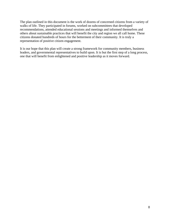The plan outlined in this document is the work of dozens of concerned citizens from a variety of walks of life. They participated in forums, worked on subcommittees that developed recommendations, attended educational sessions and meetings and informed themselves and others about sustainable practices that will benefit the city and region we all call home. These citizens donated hundreds of hours for the betterment of their community. It is truly a representation of positive citizen engagement.

It is our hope that this plan will create a strong framework for community members, business leaders, and governmental representatives to build upon. It is but the first step of a long process, one that will benefit from enlightened and positive leadership as it moves forward.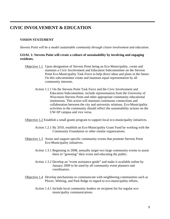## **CIVIC INVOLVEMENT & EDUCATION**

#### **VISION STATEMENT**

*Stevens Point will be a model sustainable community through citizen involvement and education.*

#### **GOAL 1***:* **Stevens Point will create a culture of sustainability by involving and engaging residents.**

- Objective 1.1Upon designation of Stevens Point being an Eco-Municipality, create and maintain a Civic Involvement and Education Subcommittee on the Stevens Point Eco-Municipality Task Force to help direct ideas and plans in the future. On this subcommittee create and maintain equal representation by all community interests.
	- Action 1.1.1 On the Stevens Point Task Force and the Civic Involvement and Education Subcommittee, include representation from the University of Wisconsin-Stevens Point and other appropriate community educational institutions. This action will maintain continuous connections and collaboration between the city and university relations. Eco-Municipality activities in the community should reflect the sustainability actions on the UW-SP campus and vice versa.

Objective 1.2 Establish a small grants program to support local eco-municipality initiatives.

- Action 1.2.1By 2010, establish an Eco-Municipality Grant Fund by working with the Community Foundation or other similar organizations.
- Objective 1.3Assist and support specific community events that promote Stevens Point Eco-Municipality initiatives.
	- Action 1.3.1 Beginning in 2008, annually target two large community events to assist them in "greening" their event and educating the public.
	- Action 1.3.2 Develop an "event assistance guide" and make it available online by January 2009 to be used by all community event planners and coordinators.
- Objective 1.4Develop mechanisms to communicate with neighboring communities such as Plover, Whiting, and Park Ridge in regard to eco-municipality efforts.
	- Action 1.4.1 Include local community leaders on recipient list for regular ecomunicipality communications.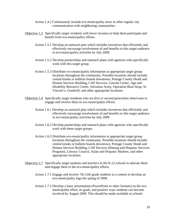- Action 1.4.2 Continuously include eco-municipality news in other regular city communication with neighboring communities.
- Objective 1.5Specifically target *residents with lower incomes* to help them participate and benefit from eco-municipality efforts.
	- Action 1.5.1 Develop an outreach plan which includes incentives that efficiently and effectively encourage involvement of and benefits to this target audience in eco-municipality activities by July 2009.
	- Action 1.5.2 Develop partnerships and outreach plans with agencies who specifically work with this target group.
	- Action 1.5.3 Distribute eco-municipality information in appropriate target group locations throughout the community. Possible locations should include: central kiosks or bulletin boards downtown, Portage County Heath and Human Services Building, CAP Services, Lincoln Center, Age and Disability Resource Center, Salvation Army, Operation Boot Strap, St. Vincent's, Goodwill, and other appropriate locations.
- Objective 1.6 Specifically target residents who are *first or second generation Americans* to engage and involve them in eco-municipality efforts.
	- Action 1.6.1 Develop an outreach plan which includes incentives that efficiently and effectively encourage involvement of and benefits to this target audience in eco-municipality activities by July 2009.
	- Action 1.6.2 Develop partnerships and outreach plans with agencies who specifically work with these target groups.
	- Action 1.6.3 Distribute eco-municipality information in appropriate target group locations throughout the community. Possible locations should include: central kiosks or bulletin boards downtown, Portage County Heath and Human Services Building, CAP Services (Hmong and Hispanic Services Program), Literacy Council, Asian and Hispanic Markets, and other appropriate locations.
- Objective 1.7Specifically target *students and teachers in the K-12 schools* to educate them and engage them in the eco-municipality efforts.
	- Action 1.7.1 Engage and involve 7th-12th grade students in a contest to develop an eco-municipality logo the spring of 2008.
	- Action 1.7.2 Develop a basic presentation (PowerPoint or other formats) on the ecomunicipality effort, its goals, and positive ways students can become involved by August 2009. This should be made available to schools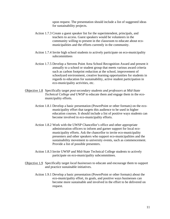upon request. The presentation should include a list of suggested ideas for sustainability projects.

- Action 1.7.3 Create a guest speaker list for the superintendent, principals, and teachers to access. Guest speakers would be volunteers in the community willing to present in the classroom to educate about ecomunicipalities and the efforts currently in the community.
- Action 1.7.4 Invite high school students to actively participate on eco-municipality subcommittees
- Action 1.7.5 Develop a Stevens Point Area School Recognition Award and present it annually to a school or student group that meets various award criteria such as carbon footprint reduction at the school, improvement of schoolyard environment, creative learning opportunities for students in regards to education for sustainability, active student participation in eco-municipality activities, etc.
- Objective 1.8Specifically target *post-secondary students and professors at Mid-State Technical College and UWSP* to educate them and engage them in the ecomunicipality efforts.
	- Action 1.8.1 Develop a basic presentation (PowerPoint or other formats) on the ecomunicipality effort that targets this audience to be used in higher education courses. It should include a list of positive ways students can become involved in eco-municipality efforts.
	- Action 1.8.2 Work with the UWSP Chancellor's office and other appropriate administration officers to inform and garner support for local ecomunicipality efforts. Ask the chancellor to invite eco-municipality presenters and other speakers who support eco-municipalities and the sustainability movement to university events, such as commencement. Provide a list of possible presenters.
	- Action 1.8.3 Invite UWSP and Mid-State Technical College students to actively participate on eco-municipality subcommittees.
- Objective 1.9Specifically target *local businesses* to educate and encourage them to support and practice sustainable initiatives.
	- Action 1.9.1 Develop a basic presentation (PowerPoint or other formats) about the eco-municipality effort, its goals, and positive ways businesses can become more sustainable and involved in the effort to be delivered on request.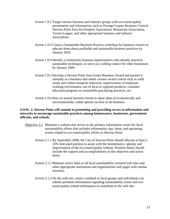- Action 1.9.2 Target various business and industry groups with eco-municipality presentation and information, such as Portage County Business Council, Stevens Point Area Inn Keepers Association, Restaurant Association, Tavern League, and other appropriate business and industry associations.
- Action 1.9.3 Create a Sustainable Business Practice workshop for business owners to educate them about profitable and sustainable business practices by January 2010.
- Action 1.9.4 Identify a community business representative who already practices sustainable techniques, to serve as a willing contact for other businesses by January 2009.
- Action 1.9.5 Develop a Stevens Point Area Green Business Award and present it annually to a business that meets various award criteria such as solid waste and carbon footprint reduction, improvement of employee working environment, use of local or regional products, customer education program on sustainable purchasing practices, etc.
- Action 1.9.6 Host an annual business forum to share ideas of economically and environmentally viable options on how to do business.

#### **GOAL 2: Stevens Point will commit to promoting and providing access to information and networks to encourage sustainable practices among homeowners, businesses, government officials, and schools.**

- Objective 2.1 Maintain a website that serves as the primary information center for local sustainability efforts that includes information, tips, ideas, and upcoming events related to eco-municipality efforts in Stevens Point.
	- Action 2.1.1 By September 2008, the City of Stevens Point should allocate at least a 25% time paid position to assist with the maintenance, upkeep, and improvement of the eco-municipality website. Position duties should include the support and accomplishment of this objective and action items.
	- Action 2.1.2 Maintain active links to all local sustainability oriented web sites and other appropriate institutions and organizations web pages with similar missions.
	- Action 2.1.3 On the web site, create a method so local groups and individuals can submit pertinent information regarding sustainability issues and ecomunicipality related information to contribute to the web site.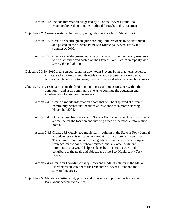- Action 2.1.4 Include information suggested by all of the Stevens Point Eco-Municipality Subcommittees outlined throughout this document.
- Objective 2.2 Create a sustainable living, green guide specifically for Stevens Point.
	- Action 2.2.1 Create a specific green guide for long-term residents to be distributed and posted on the Stevens Point Eco-Municipality web site by the summer of 2009.
	- Action 2.2.2 Create a specific green guide for students and other temporary residents to be distributed and posted on the Stevens Point Eco-Municipality web site by the fall of 2009.
- Objective 2.3 By 2010 create an eco-center in downtown Stevens Point that helps develop, initiate, and educate community-wide education programs for residents, schools, and businesses to engage and involve residents in sustainable choices.
- Objective 2.4Create various methods of maintaining a continuous presence within the community and at all community events to continue the education and involvement of community members.
	- Action 2.4.1 Create a mobile information booth that will be displayed at different community events and locations at least once each month starting November 2008.
	- Action 2.4.2 On an annual basis work with Stevens Point event coordinators to create a timeline for the location and viewing times of the mobile information booth.
	- Action 2.4.3Create a bi-weekly eco-municipality column in the Stevens Point Journal to update residents on recent eco-municipality efforts and news items. This column could include tips regarding sustainable practices, updates from eco-municipality subcommittees, and any other pertinent information that would help residents become more aware and contribute to the goals and objectives of the Eco-Municipality Task Force.
	- Action 2.4.4 Create an Eco-Municipality News and Updates column in the Mayor Halverson's newsletter to the residents of Stevens Point and the surrounding areas.
- Objective 2.5 Maintain existing study groups and offer more opportunities for residents to learn about eco-municipalities.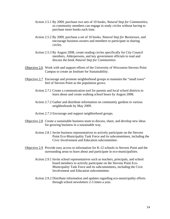- Action 2.5.1 By 2009, purchase two sets of 10 books, *Natural Step for Communities,*  so community members can engage in study circles without having to purchase more books each time.
- Action 2.5.2 By 2009, purchase a set of 10 books, *Natural Step for Businesses,* and encourage business owners and members to participate in sharing circles.
- Action 2.5.3 By August 2008, create reading circles specifically for City Council members, Alderpersons, and key government officials to read and discuss the book *Natural Step for Communities*.
- Objective 2.6Work with and support efforts of the University of Wisconsin-Stevens Point Campus to create an Institute for Sustainability.
- Objective 2.7Encourage and promote neighborhood groups to maintain the "small town" feel of Stevens Point as the population grows.
	- Action 2.7.1 Create a communication tool for parents and local school districts to learn about and create walking school buses by August 2008.
	- Action 2.7.2 Gather and distribute information on community gardens to various neighborhoods by May 2009.
	- Action 2.7.3Encourage and support neighborhood groups.
- Objective 2.8Create a sustainable business team to discuss, share, and develop new ideas for growing business in a sustainable way.
	- Action 2.8.1 Invite business representatives to actively participate on the Stevens Point Eco-Municipality Task Force and its subcommittees, including the Civic Involvement and Education subcommittee.
- Objective 2.9 Provide easy access to information for K-12 schools in Stevens Point and the surrounding areas to learn about and participate in eco-municipalities.
	- Action 2.9.1 Invite school representatives such as teachers, principals, and school board members to actively participate on the Stevens Point Eco-Municipality Task Force and its subcommittees, including the Civic Involvement and Education subcommittee.
	- Action 2.9.2 Distribute information and updates regarding eco-municipality efforts through school newsletters 2-3 times a year.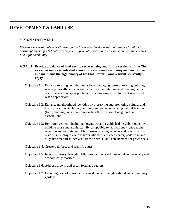## **DEVELOPMENT & LAND USE**

#### **VISION STATEMENT**

*We support sustainable growth through land uses and development that reduces fossil fuel consumption, supports healthy eco-systems, promotes social and economic equity, and creates a beautiful community.* 

- **GOAL 1: Provide a balance of land uses to serve existing and future residents of the City as well as non-residents that allows for a sustainable economy and environment and maintains the high quality of life that Stevens Point residents currently enjoy.**
	- Objective 1.1: Enhance existing neighborhoods by encouraging reuse of existing buildings where physically and economically possible; retaining and creating public open space where appropriate; and encouraging redevelopment where and when appropriate.
	- Objective 1.2: Enhance neighborhood identities by preserving and promoting cultural and historic features, including buildings and parks; enhancing natural features (trees, streams, rivers); and supporting the creation of neighborhood associations.
	- Objective 1.3: Reinforce centers including downtown and established neighborhoods with building reuse and architecturally compatible rehabilitations / renovations; retention and recruitment of businesses offering services and goods for residents, employees, and visitors who frequent each center; pedestrian and bicyclist amenities; increased transit service; and enhancement of green space.
	- Objective 1.4: Create, reinforce and identify edges.
	- Objective 1.5: Increase density through infill, reuse, and redevelopment when physically and economically feasible.
	- Objective 1.6: Address growth and urban form as a region.
	- Objective 1.7: Encourage use of unused city owned lands for neighborhood and community gardens.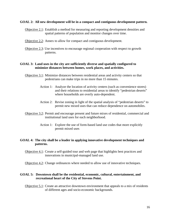#### **GOAL 2: All new development will be in a compact and contiguous development pattern.**

- Objective 2.1: Establish a method for measuring and reporting development densities and spatial patterns of population and monitor changes over time.
- Objective 2.2: Annex to allow for compact and contiguous development.
- Objective 2.3: Use incentives to encourage regional cooperation with respect to growth patterns.

#### **GOAL 3: Land uses in the city are sufficiently diverse and spatially configured to minimize distances between homes, work places, and activities.**

- Objective 3.1: Minimize distances between residential areas and activity centers so that pedestrians can make trips in no more than 15 minutes.
	- Action 1: Analyze the location of activity centers (such as convenience stores) and their relations to residential areas to identify "pedestrian deserts" where households are overly auto-dependent.
	- Action 2: Revise zoning in light of the spatial analysis of "pedestrian deserts" to permit new mixed uses that can reduce dependence on automobiles.
- Objective 3.2: Permit and encourage present and future mixes of residential, commercial and institutional land uses for each neighborhood.
	- Action 1: Explore the use of form-based land use codes that more explicitly permit mixed uses

#### **GOAL 4: The city shall be a leader in applying innovative development techniques and patterns.**

Objective 4.1: Create a self-guided tour and web page that highlights best practices and innovations in municipal-managed land use.

Objective 4.2: Change ordinances where needed to allow use of innovative techniques.

#### **GOAL 5: Downtown shall be the residential, economic, cultural, entertainment, and recreational heart of the City of Stevens Point.**

Objective 5.1: Create an attractive downtown environment that appeals to a mix of residents of different ages and socio-economic backgrounds.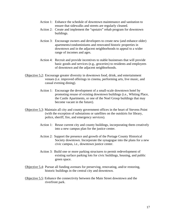- Action 1: Enhance the schedule of downtown maintenance and sanitation to ensure that sidewalks and streets are regularly cleaned.
- Action 2: Create and implement the "upstairs" rehab program for downtown buildings.
- Action 3: Encourage owners and developers to create new (and enhance older) apartments/condominiums and renovated historic properties in downtown and in the adjacent neighborhoods to appeal to a wider range of incomes and ages.
- Action 4: Recruit and provide incentives to stable businesses that will provide basic goods and services (e.g., groceries) to residents and employees of downtown and the adjacent neighborhoods.
- Objective 5.2: Encourage greater diversity in downtown food, drink, and entertainment venues (i.e. improved offerings in cinema, performing arts, live music, and casual evening dining).
	- Action 1: Encourage the development of a small-scale downtown hotel by promoting resuse of existing downtown buildings (i.e., Whiting Place, the Castle Apartments, or one of the Noel Group buildings that may become vacant in the future).
- Objective 5.3: Maintain all city and county government offices in the heart of Stevens Point (with the exception of substations or satellites on the outskirts for library, police, sheriff, fire, and emergency services).
	- Action 1: Reuse current city and county buildings, incorporating them creatively into a new campus plan for the justice center.
	- Action 2: Support the presence and growth of the Portage County Historical Society downtown. Incorporate the synagogue into the plans for a new civic campus, i.e., downtown justice center.
	- Action 3: Build one or more parking structures to permit redevelopment of existing surface parking lots for civic buildings, housing, and public green space.
- Objective 5.4: Pursue all funding avenues for preserving, renovating, and/or restoring, historic buildings in the central city and downtown.
- Objective 5.5: Enhance the connectivity between the Main Street downtown and the riverfront park.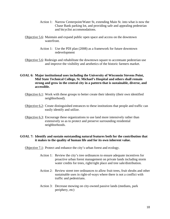- Action 1: Narrow Centerpoint/Water St, extending Main St. into what is now the Chase Bank parking lot, and providing safe and appealing pedestrian and bicyclist accommodations.
- Objective 5.6: Maintain and expand public open space and access on the downtown waterfront.
	- Action 1: Use the PDI plan (2008) as a framework for future downtown redevelopment
- Objective 5.6: Redesign and rehabilitate the downtown square to accentuate pedestrian use and improve the visibility and aesthetics of the historic farmers market.
- **GOAL 6: Major institutional uses including the University of Wisconsin Stevens Point, Mid State Technical College, St. Michael's Hospital and others shall remain strong and grow in the central city in a pattern that is sustainable, diverse, and accessible.** 
	- Objective 6.1: Work with these groups to better create their identity (their own identified neighborhood).
	- Objective 6.2: Create distinguished entrances to these institutions that people and traffic can easily identify and utilize.
	- Objective 6.3: Encourage these organizations to use land more intensively rather than extensively so as to protect and preserve surrounding residential neighborhoods.

#### **GOAL 7: Identify and sustain outstanding natural features both for the contribution that it makes to the quality of human life and for its own inherent value.**

Objective 7.1: Protect and enhance the city's urban forest and ecology.

- Action 1: Review the city's tree ordinances to ensure adequate incentives for proactive urban forest management on private lands including storm water credits for trees, right/right place and tree sale/distribution.
- Action 2: Review street tree ordinances to allow fruit trees, fruit shrubs and other sustainable uses in right-of-ways where there is not a conflict with traffic and pedestrians.
- Action 3: Decrease mowing on city-owned passive lands (medians, park periphery, etc)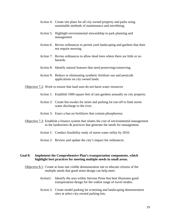- Action 4: Create site plans for all city owned property and parks using sustainable methods of maintenance and retrofitting.
- Action 5: Highlight environmental stewardship in park planning and management
- Action 6: Revise ordinances to permit yard landscaping and gardens that does not require mowing.
- Action 7: Revise ordinances to allow dead trees where there are little or no hazards.
- Action 8: Identify natural features that need preserving/conserving.
- Action 9: Reduce or eliminating synthetic fertilizer use and pesticide applications on city owned lands.

Objective 7.2: Work to ensure that land uses do not harm water resources

- Action 1: Establish 1000 square feet of rain gardens annually on city property.
- Action 2: Create bio-swales for street and parking lot run-off to limit storm water discharge to the river.
- Action 3: Enact a ban on fertilizers that contain phosphorous
- Objective 7.3: Establish a finance system that relates the cost of environmental management to the landowners & practices that generate the needs for management.
	- Action 1: Conduct feasibility study of storm water utility by 2010.
	- Action 2: Review and update the city's impact fee ordinances.

#### **Goal 8: Implement the Comprehensive Plan's transportation components, which highlight best practices for meeting multiple needs in small areas.**

Objective 8.1: Create at least one visible demonstration site to educate citizens of the multiple needs that good street design can help meet.

- Action1: Identify the area within Stevens Point that best illustrates good transportation design for the widest range of travel modes.
- Action 2: Create model parking lot screening and landscaping demonstration sites at select city-owned parking lots.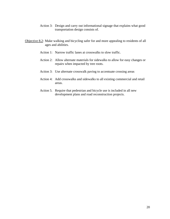- Action 3: Design and carry out informational signage that explains what good transportation design consists of.
- Objective 8.2: Make walking and bicycling safer for and more appealing to residents of all ages and abilities.
	- Action 1: Narrow traffic lanes at crosswalks to slow traffic.
	- Action 2: Allow alternate materials for sidewalks to allow for easy changes or repairs when impacted by tree roots.
	- Action 3: Use alternate crosswalk paving to accentuate crossing areas
	- Action 4: Add crosswalks and sidewalks to all existing commercial and retail areas.
	- Action 5. Require that pedestrian and bicycle use is included in all new development plans and road reconstruction projects.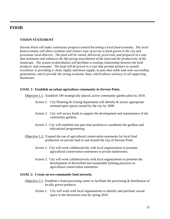## **FOOD**

#### **VISION STATEMENT**

*Stevens Point will make continuous progress toward becoming a local food economy. The local food economy will allow residents and visitors ease of access to food grown in the city and proximate rural districts. The food will be raised, delivered, preserved, and prepared in a way that maintains and enhances the life-giving nourishment of the food and the productivity of the landscape. The system of distribution will facilitate a trusting relationship between the food producer and consumer. The food will be priced in a way that permits farmers to sustain excellence in providing a clean, highly nutritious supply, to pass that noble task onto succeeding generations, and to provide the strong economic base, which allows solvency in all supporting businesses.* 

#### **GOAL 1: Establish an urban agriculture community in Stevens Point.**

Objective 1.1: Establish 100 strategically placed, active community garden plots by 2010.

- Action 1: City Planning & Zoning department will identify & secure appropriate remnant/open spaces owned by the city by 2009.
- Action 2: City will secure funds to support the development and maintenance of the community gardens.
- Action 3: City will establish one part-time position to coordinate the gardens and educational programming.
- Objective 1.2: Expand the use of agricultural conservation easements for local food production on private land in and around the city of Stevens Point
	- Action 1: City will work collaboratively with local organizations to promote agricultural conservation easements to private landowners.
	- Action 2: City will work collaboratively with local organizations to promote the development of diversified and sustainable farming practices on agricultural conservation easements.

#### **GOAL 2: Create an eco-community food network.**

- Objective 2.1: Establish a food processing center to facilitate the processing & distribution of locally grown products.
	- Action 1: City will work with local organizations to identify and purchase vacant space in the downtown area by spring 2010.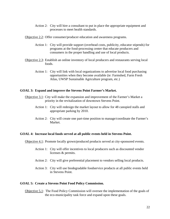Action 2: City will hire a consultant to put in place the appropriate equipment and processes to meet health standards.

Objective 2.2: Offer consumer/producer education and awareness programs.

- Action 1: City will provide support (overhead costs, publicity, educator stipends) for programs at the food-processing center that educate producers and consumers in the proper handling and use of local products.
- Objective 2.3: Establish an online inventory of local producers and restaurants serving local foods.
	- Action 1: City will link with local organizations to advertise local food purchasing opportunities when they become available (ie: Farmshed, Farm Fresh Atlas, UWSP Sustainable Agriculture program, etc.)

#### **GOAL 3: Expand and improve the Stevens Point Farmer's Market.**

- Objective 3.1: City will make the expansion and improvement of the Farmer's Market a priority in the revitalization of downtown Stevens Point.
	- Action 1: City will redesign the market layout to allow for 48 canopied stalls and appropriate parking by 2010.
	- Action 2: City will create one part-time position to manage/coordinate the Farmer's Market.

#### **GOAL 4: Increase local foods served at all public events held in Stevens Point.**

Objective 4.1: Promote locally grown/produced products served at city-sponsored events.

- Action 1: City will offer incentives to local producers such as discounted vendor licenses & permits.
- Action 2: City will give preferential placement to vendors selling local products.
- Action 3: City will use biodegradable foodservice products at all public events held in Stevens Point.

#### **GOAL 5: Create a Stevens Point Food Policy Commission.**

Objective 5.1: The Food Policy Commission will oversee the implementation of the goals of the eco-municipality task force and expand upon these goals.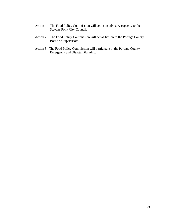- Action 1: The Food Policy Commission will act in an advisory capacity to the Stevens Point City Council.
- Action 2: The Food Policy Commission will act as liaison to the Portage County Board of Supervisors.
- Action 3: The Food Policy Commission will participate in the Portage County Emergency and Disaster Planning.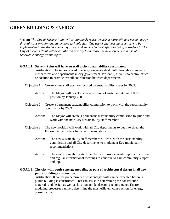## **GREEN BUILDING & ENERGY**

**Vision:** *The City of Stevens Point will continuously work towards a more efficient use of energy through conservation and innovative technologies. The use of engineering practice will be implemented in the decision making process when new technologies are being considered. The City of Stevens Point will also make it a priority to increase the development and use of renewable energy technologies.* 

#### **GOAL 1: Stevens Point will have on staff a city sustainability coordinator.**

Justification: The issues related to energy usage are dealt with through a number of mechanisms and departments in city government. Presently, there is no central office or position to provide overall coordination between departments.

- Objective 1: Create a new staff position focused on sustainability issues by 2009.
	- Action: The Mayor will develop a new position of sustainability and fill the position by January 2009.
- Objective 2: Create a permanent sustainability commission to work with the sustainability coordinator by 2009.
	- Action: The Mayor will create a permanent sustainability commission to guide and work with the new City sustainability staff member.
- Objective 3: The new position will work with all City departments to put into effect the Eco-municipality task force recommendations.
	- Action: The new sustainability staff member will work with the sustainability commission and all City departments to implement Eco-municipality recommendations.
	- Action: The new sustainability staff member will provide yearly reports to citizens and regular informational meetings to continue to gain community support and input.
- **GOAL 2: The city will require energy modeling as part of architectural design in all new public building construction.**

Justification: It can be predetermined what energy costs can be expected before a public building is constructed. That can assist in determining the construction materials and design as well as location and landscaping requirements. Energy modeling processes can help determine the most efficient construction for energy conservation.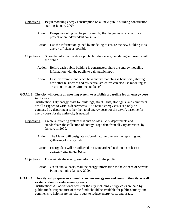- Objective 1: Begin modeling energy consumption on all new public building construction starting January 2009.
	- Action: Energy modeling can be performed by the design team retained for a project or an independent consultant
	- Action: Use the information gained by modeling to ensure the new building is as energy efficient as possible
- Objective 2: Share the information about public building energy modeling and results with the public.
	- Action: Before each public building is constructed, share the energy modeling information with the public to gain public input.
	- Action: Lead by example and teach how energy modeling is beneficial, sharing how other businesses and residential structures can also use modeling as an economic and environmental benefit.

#### **GOAL 3: The city will create a reporting system to establish a baseline for all energy costs in the city.**

Justification: City energy costs for buildings, street lights, stoplights, and equipment are all assigned to various departments. As a result, energy costs can only be compared by department rather then total energy costs for the city. A baseline for energy costs for the entire city is needed.

- Objective 1: Create a reporting system that cuts across all city departments and standardizes the collection of energy usage data from all City activities, by January 1, 2009.
	- Action: The Mayor will designate a Coordinator to oversee the reporting and gathering of energy data.
	- Action: Energy data will be collected in a standardized fashion on at least a quarterly and annual basis.
- Objective 2: Disseminate the energy use information to the public.
	- Action: On an annual basis, mail the energy information to the citizens of Stevens Point beginning January 2009.

#### **GOAL 4: The city will prepare an annual report on energy use and costs in the city as well as steps taken to reduce energy costs.**

Justification: All operational costs for the city including energy costs are paid by public funds. Expenditure of these funds should be available for public scrutiny and comments to help insure the city's duty to reduce energy costs and usage.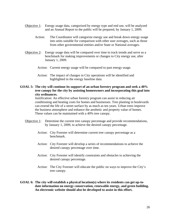- Objective 1: Energy usage data, categorized by energy type and end use, will be analyzed and an Annual Report to the public will be prepared, by January 1, 2009.
	- Action: The Coordinator will categorize energy use and break down energy usage into units suitable for comparison with other user averages, such as those from other governmental entities and/or State or National averages.
- Objective 2: Energy usage data will be compared over time to track trends and serve as a benchmark for making improvements or changes to City energy use, after January 1, 2009.
	- Action: Current energy usage will be compared to past energy usage.
	- Action: The impact of changes in City operations will be identified and highlighted in the energy baseline data.
- **GOAL 5: The city will continue its support of an urban forestry program and seek a 40% tree canopy for the city by assisting homeowners and incorporating this goal into city ordinances.**

Justification: An effective urban forestry program can assist in reducing air conditioning and heating costs for homes and businesses. Tree planting in boulevards can extend the life of a street surface by as much as ten years. Urban trees improve the business atmosphere and enhance the aesthetic and property value of homes. These values can be maintained with a 40% tree canopy.

- Objective 1: Determine the current tree canopy percentage and provide recommendations, by January 1, 2009, to achieve the desired canopy percentage.
	- Action: City Forester will determine current tree canopy percentage as a benchmark.
	- Action: City Forester will develop a series of recommendations to achieve the desired canopy percentage over time.
	- Action: City Forester will identify constraints and obstacles to achieving the desired canopy percentage.
	- Action: The City Forester will educate the public on ways to improve the City's tree canopy.
- **GOAL 6: The city will establish a physical location(s) where its residents can get up-todate information on energy conservation, renewable energy, and green building. An electronic website should also be developed to assist in this effort.**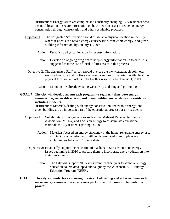Justification: Energy issues are complex and constantly changing. City residents need a central location to secure information on how they can assist in reducing energy consumption through conservation and other sustainable practices.

- Objective 1: The designated Staff person should establish a physical location in the City where residents can obtain energy conservation, renewable energy, and green building information, by January 1, 2009.
	- Action: Establish a physical location for energy information.
	- Action: Develop an ongoing program to keep energy information up to date. It is suggested that the use of local utilities assist in this process.
	- Objective 2: The designated Staff person should oversee the www.sustainablepoint.org website to ensure that it offers electronic versions of materials available at the physical location and offers links to other resources, by January 1, 2009.
		- Action: Maintain the already existing website by updating and promoting it.

#### **GOAL 7: The city will develop an outreach program to regularly distribute energy conservation, renewable energy, and green building materials to city residents including students.**

Justification: Materials dealing with energy conservation, renewable energy, and green building are an important part of the educational process for city residents.

- Objective 1: Collaborate with organizations such as the Midwest Renewable Energy Association (MREA) and Focus on Energy to disseminate educational materials to City residents starting in 2009.
	- Action: Materials focused on energy efficiency in the home, renewable energy use, efficient transportation, etc. will be disseminated in multiple ways including tax bills and City newsletter.
	- Objective 2: Financially support the education of teachers in Stevens Point on energy issues beginning in 2010 to prepare them to incorporate energy education into their curriculums.
		- Action: The City will support 20 Stevens Point teachers/year to attend an energy education course developed and taught by the Wisconsin K-12 Energy Education Program (KEEP).
- **GOAL 8: The city will undertake a thorough review of all zoning and other ordinances to make energy conservation a conscious part of the ordinance implementation process.**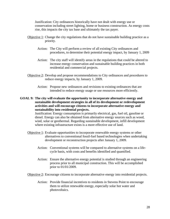Justification: City ordinances historically have not dealt with energy use or conservation including street lighting, home or business construction. As energy costs rise, this impacts the city tax base and ultimately the tax payer.

- Objective 1: Change the city regulations that do not have sustainable building practice as a priority.
	- Action: The City will perform a review of all existing City ordinances and procedures, to determine their potential energy impact, by January 1, 2009
	- Action: The city staff will identify areas in the regulations that could be altered to increase energy conservation and sustainable building practices in both residential and commercial projects.
- Objective 2: Develop and propose recommendations to City ordinances and procedures to reduce energy impacts, by January 1, 2009.
	- Action: Propose new ordinances and revisions to existing ordinances that are intended to reduce energy usage or use resources more efficiently.
- **GOAL 9: The city will evaluate the opportunity to incorporate alternative energy and sustainable development strategies in all of its development or redevelopment activities and will encourage citizens to incorporate alternative energy and sustainability into residential projects.**

Justification: Energy consumption is primarily electrical, gas, fuel oil, gasoline or diesel. Energy can also be obtained from alternative energy sources such as wood, wind, solar or geothermal. Regarding sustainable development, infill development where existing infrastructure exists is a more effective use of land.

- Objective 1: Evaluate opportunities to incorporate renewable energy systems or other alternatives to conventional fossil-fuel based technologies when undertaking development or reconstruction projects after January 1, 2009.
	- Action: Conventional systems will be compared to alternative systems on a lifecycle basis, with costs and benefits identified and quantified.
	- Action: Ensure the alternative energy potential is studied through an engineering process prior to all municipal construction. This will be accomplished prior to 01/01/2009.

Objective 2: Encourage citizens to incorporate alternative energy into residential projects.

Action: Provide financial incentives to residents in Stevens Point to encourage them to utilize renewable energy, especially solar hot water and photovoltaics.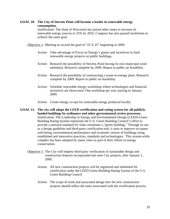#### **GOAL 10: The City of Stevens Point will become a leader in renewable energy consumption.**

Justification: The State of Wisconsin has joined other states to increase its renewable energy sources to 25% by 2025. Congress has also passed resolutions to achieve the same goal.

Objective 1: Meeting or exceed the goal of "25 X 25" beginning in 2009.

- Action: Take advantage of Focus on Energy's grants and incentives to fund renewable energy projects on public buildings.
- Action: Research the possibility of Stevens Point having its own municipal wind turbine(s). Research complete by 2009. Report to public on feasibility.
- Action: Research the possibility of constructing a waste-to-energy plant. Research complete by 2009. Report to public on feasibility.
- Action: Schedule renewable energy workshops where technologies and financial incentives are showcased. One workshop per year starting in January 2009.
- Action: Create energy co-ops for renewable energy produced locally.
- **GOAL 11: The city will adopt the LEED certification and rating system for all publiclyfunded buildings by ordinance and other governmental review processes.**  Justification: The Leadership in Energy and Environmental Design (LEED) Green Building Rating System represents the U.S. Green Building Council's effort to provide a national standard for what constitutes a "green building." Through its use as a design guideline and third-party certification tool, it aims to improve occupant well-being, environmental performance and economic returns of buildings using established and innovative practices, standards and technologies. This system while complex has been adopted by many cities as part of their efforts in energy conservation.
	- Objective 1: The City will employ third-party verification of sustainable design and construction features incorporated into new City projects, after January 1, 2009.
		- Action: All new construction projects will be registered and submitted for certification under the LEED Green Building Rating System of the U.S. Green Building Council
		- Action: The scope of work and associated design fees for new construction projects should reflect the tasks associated with the certification process.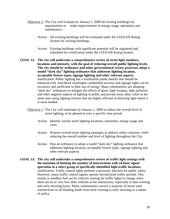- Objective 2: The City will evaluate by January 1, 2009 all existing buildings for opportunities to make improvements in energy usage, operations and maintenance.
	- Action: All existing buildings will be evaluated under the LEED-EB Rating System for existing buildings.
	- Action: Existing buildings with significant potential will be registered and submitted for certification under the LEED-EB Rating System.
- **GOAL 12: The city will undertake a comprehensive review of street light numbers, locations and intensity, with the goal of reducing overall public lighting levels. The city should by ordinance and other governmental review processes adopt a model "dark sky" lighting ordinance that addresses lighting location, acceptable fixture types, signage lighting and other relevant aspects.**  Justification: Public lighting has a worthwhile public benefit that should be balanced with mid-block streetlights, unshielded security and signage lights can be excessive and inefficient in their use of energy. Many communities are adopting "dark sky" ordinances to mitigate the effects of glare, light trespass, light pollution and other negative aspects of lighting in public and private areas alike, while at the same time using lighting fixtures that are highly efficient in directing light where it is most needed.
	- Objective 1: The City will undertake by January 1, 2009 to reduce the overall level of street lighting, to be phased-in over a specific time period.
		- Action: Identify current street lighting locations, intensities, energy usage and costs.
		- Action: Propose revised street lighting strategies to address safety concerns, while reducing the overall number and level of lighting throughout the City.
		- Action: Pass an ordinance to adopt a model "dark sky" lighting ordinance that addresses lighting location, acceptable fixture types, signage lighting and other relevant aspects.
- **GOAL 13: The city will undertake a comprehensive review of traffic light settings with the intention of limiting the number of intersections with 24-hour signal operation to a select group of specifically-identified high-traffic locations.** Justification: Traffic control lights perform a necessary function for public safety. However, many traffic control signals operate beyond peak traffic periods. This results in needless fuel use by vehicles waiting for traffic lights to change when there are no or very few other vehicles at the intersection, especially in later evening and early morning hours. Many communities convert a majority of lesser used intersections to all-flashing mode from early evening to early morning as a matter of policy.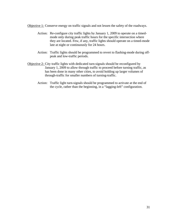Objective 1: Conserve energy on traffic signals and not lessen the safety of the roadways.

- Action: Re-configure city traffic lights by January 1, 2009 to operate on a timedmode only during peak traffic hours for the specific intersection where they are located. Few, if any, traffic lights should operate on a timed-mode late at night or continuously for 24 hours.
- Action: Traffic lights should be programmed to revert to flashing-mode during offpeak and low-traffic periods.
- Objective 2: City traffic lights with dedicated turn-signals should be reconfigured by January 1, 2009 to allow through traffic to proceed before turning traffic, as has been done in many other cities, to avoid holding up larger volumes of through-traffic for smaller numbers of turning-traffic.
	- Action: Traffic light turn-signals should be programmed to activate at the end of the cycle, rather than the beginning, in a "lagging-left" configuration.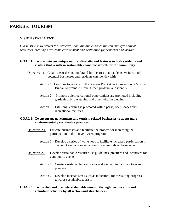## **PARKS & TOURISM**

#### **VISION STATEMENT**

*Our mission is to protect the, preserve, maintain and enhance the community's natural resources, creating a desirable environment and destination for residents and visitors.*

#### **GOAL 1: To promote our unique natural diversity and features to both residents and visitors that results in sustainable economic growth for the community.**

- Objective 1: Create a eco-destination brand for the area that residents, visitors and potential businesses and residents can identify with.
	- Action 1: Continue to work with the Stevens Point Area Convention & Visitors Bureau to promote Travel Green program and identity.
	- Action 2: Promote quiet recreational opportunities are promoted including gardening, bird watching and other wildlife viewing.
	- Action 3: Life-long learning is promoted within parks, open spaces and recreational facilities.

#### **GOAL 2: To encourage government and tourism related businesses to adopt more environmentally sustainable practices.**

- Objective  $2.1$ : Educate businesses and facilitate the process for increasing the participation in the Travel Green program.
	- Action 1: Develop a series of workshops to facilitate increased participation in Travel Green Wisconsin amongst tourism related businesses.
- Objective 2.2: Develop sustainable resource use guidelines, practices and incentives for community events.
	- Action 1: Create a sustainable best practices document to hand out to event planners.
	- Action 2: Develop mechanisms (such as indicators) for measuring progress towards sustainable tourism

#### **GOAL 3: To develop and promote sustainable tourism through partnerships and voluntary activities by all sectors and stakeholders.**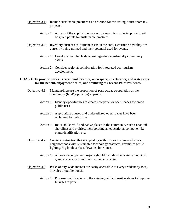- Objective 3.1: Include sustainable practices as a criterion for evaluating future room tax projects.
	- Action 1: As part of the application process for room tax projects, projects will be given points for sustainable practices.
- Objective 3.2: Inventory current eco-tourism assets in the area. Determine how they are currently being utilized and their potential used for events.
	- Action 1: Develop a searchable database regarding eco-friendly community assets.
	- Action 2: Consider regional collaboration for integrated eco-tourism development.

#### **GOAL 4: To provide parks, recreational facilities, open space, streetscapes, and waterways for the benefit, enjoyment health, and wellbeing of Stevens Point residents.**

- Objective 4.1: Maintain/increase the proportion of park acreage/population as the community (land/population) expands.
	- Action 1: Identify opportunities to create new parks or open spaces for broad public uses
	- Action 2: Appropriate unused and underutilized open spaces have been reclaimed for public use.
	- Action 3: Re-establish wild and native places in the community such as natural shorelines and prairies, incorporating an educational component i.e. plant identification etc.
- Objective 4.2: Create a destination that is appealing with historic commercial areas, neighborhoods with sustainable technology practices. Example: gentle lighting, big boulevards, sidewalks, bike lanes.
	- Action 1: All new development projects should include a dedicated amount of green space which involves native landscaping.
- Objective 4.3: Parks of city-wide interest are easily accessible to every resident by foot, bicycles or public transit.
	- Action 1: Propose modifications to the existing public transit systems to improve linkages to parks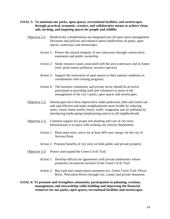- **GOAL 5: To maintain our parks, open spaces, recreational facilities, and streetscapes through practical, economic, creative, and collaborative means to achieve clean, safe, inviting, and inspiring spaces for people and wildlife.** 
	- Objective 5.1: Biodiversity considerations are integrated into all open space management Decisions and policies and enhance native biodiversity on parks, open spaces, waterways and streetscapes.
		- Action 1: Protect the natural integrity of our waterways through conservation easements and public ownership.
		- Action 2: Study resource issues associated with the area waterways and its future (non- point source pollution, invasive species).
		- Action 3: Support the restoration of open spaces to their natural conditions in coordination with existing programs.
		- Action 4: The business community and private sector should be an active participant in providing staff and volunteers to assist in the management of the city's parks, open spaces and streetscapes.
	- Objective 5.2: Streetscapes have been improved to make pedestrian, bike and transit use safe and efficient and make neighborhoods more livable by reducing noise, visual clutter (utility lines), traffic congestion and air pollution by introducing landscaping (emphasizing native) to all neighborhoods.
	- Objective 5.3: Continue support for proper tree planting and care of city trees. Infrastructure is in place with existing city forestry department.
		- Action 1: Plant more trees, strive for at least 40% tree canopy for the city of Stevens Point.
		- Action 2: Promote benefits of city trees on both public and private property.
	- Objective 5.4: Protect and expand the Green Circle Trail.
		- Action 1: Develop official use agreements with private landowners whose properties incorporate sections of the Green Circle Trail.
		- Action 2: Buy land and conservation easements (ex. Green Circle Trail, Plover River, Wisconsin River) through city, county and private donations
- **GOAL 6: To promote and strengthen community participation in planning, creation, management, and stewardship while building and improving the financial resources for our parks, open spaces, recreational facilities and streetscapes.**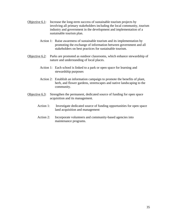- Objective 6.1: Increase the long-term success of sustainable tourism projects by involving all primary stakeholders including the local community, tourism industry and government in the development and implementation of a sustainable tourism plan.
	- Action 1: Raise awareness of sustainable tourism and its implementation by promoting the exchange of information between government and all stakeholders on best practices for sustainable tourism.
- Objective 6.2: Parks are promoted as outdoor classrooms, which enhance stewardship of nature and understanding of local places.
	- Action 1: Each school is linked to a park or open space for learning and stewardship purposes
	- Action 2: Establish an information campaign to promote the benefits of plant, herb, and flower gardens, streetscapes and native landscaping to the community.
- Objective 6.3: Strengthen the permanent, dedicated source of funding for open space acquisition and its management.
	- Action 1: Investigate dedicated source of funding opportunities for open space land acquisition and management
	- Action 2: Incorporate volunteers and community-based agencies into maintenance programs.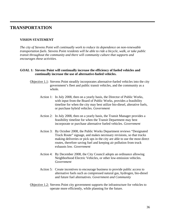## **TRANSPORTATION**

#### **VISION STATEMENT**

*The city of Stevens Point will continually work to reduce its dependence on non-renewable transportation fuels. Stevens Point residents will be able to ride a bicycle, walk, or take public transit throughout the community and there will community culture that supports and encourages these activities.* 

#### **GOAL 1: Stevens Point will continually increase the efficiency of fueled vehicles and continually increase the use of alternative-fueled vehicles.**

- Objective 1.1: Stevens Point steadily incorporates alternative-fueled vehicles into the city government's fleet and public transit vehicles, and the community as a whole.
	- Action 1: In July 2008, then on a yearly basis, the Director of Public Works, with input from the Board of Public Works, provides a feasibility timeline for when the city may best utilize bio-diesel, alterative fuels, or purchase hybrid vehicles. *Government*
	- Action 2: In July 2008, then on a yearly basis, the Transit Manager provides a feasibility timeline for when the Transit Department may best incorporate or purchase alternative fueled vehicles. *Government*
	- Action 3: By October 2008, the Public Works Department reviews "Designated Truck Route" signage, and makes necessary revisions, so that trucks making deliveries or pick ups in the city are able to use the most direct routes, therefore saving fuel and keeping air pollution from truck exhausts low. *Government*
	- Action 4: By December 2008, the City Council adopts an ordinance allowing Neighborhood Electric Vehicles, or other low-emission vehicles. *Government*
	- Action 5: Create incentives to encourage business to provide public access to alternative fuels such as compressed natural gas, hydrogen, bio-diesel and future fuel alternatives. *Government and Community*
- Objective 1.2: Stevens Point city government supports the infrastructure for vehicles to operate more efficiently, while planning for the future.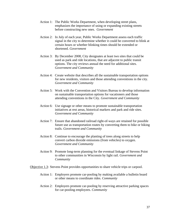- Action 1: The Public Works Department, when developing street plans, emphasizes the importance of using or expanding existing streets before constructing new ones. *Government*
- Action 2: In July of each year, Public Works Department assess each traffic signal in the city to determine whether it could be converted to blink at certain hours or whether blinking times should be extended or shortened. *Government*
- Action 3: By December 2008, City designates at least two sites that could be used as park and ride locations, that are adjacent to public transit options. The city reviews annual the need for additional sites. *Government and Community*
- Action 4: Create website that describes all the sustainable transportation options for new residents, visitors and those attending conventions in the city. *Government and Community*
- Action 5: Work with the Convention and Visitors Bureau to develop information on sustainable transportation options for vacationers and those attending conventions in the City. *Government and Community*
- Action 6: Use signage or other means to promote sustainable transportation initiatives at rest areas, historical markers and park and ride sites. *Government and Community*
- Action 7: Ensure that abandoned railroad right-of-ways are retained for possible future use as transportation routes by converting them to bike or hiking trails. *Government and Community*
- Action 8: Continue to encourage the planting of trees along streets to help convert carbon dioxide emissions (from vehicles) to oxygen. *Government and Community*
- Action 9: Promote long-term planning for the eventual linkage of Stevens Point to other communities in Wisconsin by light rail. *Government and Community*

Objective 1.3: Stevens Point provides opportunities to share vehicle trips or carpool.

- Action 1: Employers promote car-pooling by making available a bulletin board or other means to coordinate rides. *Community*
- Action 2: Employers promote car-pooling by reserving attractive parking spaces for car-pooling employees. *Community*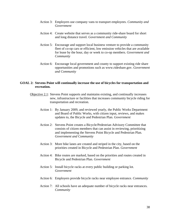- Action 3: Employers use company vans to transport employees. *Community and Government*
- Action 4: Create website that serves as a community ride-share board for short and long distance travel*. Government and Community*
- Action 5: Encourage and support local business venture to provide a community fleet of co-op cars or efficient, low emission vehicles that are available for lease by the hour, day or week to co-op members*. Government and Community*
- Action 6: Encourage local government and county to support existing ride share opportunities and promotions such as www.rideshare.gov. *Government and Community*

#### **GOAL 2: Stevens Point will continually increase the use of bicycles for transportation and recreation.**

- Objective 2.1: Stevens Point supports and maintains existing, and continually increases new, infrastructure or facilities that increases community bicycle riding for transportation and recreation.
	- Action 1: By January 2009, and reviewed yearly, the Public Works Department and Board of Public Works, with citizen input, reviews, and makes updates to, the Bicycle and Pedestrian Plan. *Government*
	- Action 2: Stevens Point creates a Bicycle/Pedestrian Advisory Committee that consists of citizen members that can assist in reviewing, prioritizing and implementing the Stevens Point Bicycle and Pedestrian Plan. *Government and Community*
	- Action 3: More bike lanes are created and striped in the city, based on the priorities created in Bicycle and Pedestrian Plan. *Government*
	- Action 4: Bike routes are marked, based on the priorities and routes created in Bicycle and Pedestrian Plan. *Government*
	- Action 5: Install bicycle racks at every public building or parking lot. *Government*
	- Action 6: Employers provide bicycle racks near employee entrance. *Community*
	- Action 7: All schools have an adequate number of bicycle racks near entrances*. Community*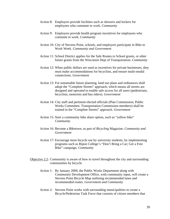- Action 8: Employers provide facilities such as showers and lockers for employees who commute to work. *Community*
- Action 9: Employers provide health program incentives for employees who commute to work. *Community*
- Action 10: City of Stevens Point, schools, and employers participate in Bike to Work Week. *Community and Government*
- Action 11: School District applies for the Safe Routes to School grants, or other future grants from the Wisconsin Dept of Transportation. *Community*
- Action 12: When public dollars are used as incentives for private businesses, they must make accommodations for bicyclists, and ensure multi-modal connections. *Government*
- Action 13: For sustainable future planning, land use plans and ordinances shall adopt the "Complete Streets" approach, which means all streets are designed and operated to enable safe access for all users (pedestrians, bicyclists, motorists and bus riders). *Government*
- Action 14: City staff and pertinent elected officials (Plan Commission, Public Works Committee, Transportation Commission members) shall be trained in the "Complete Streets" approach. *Government*
- Action 15: Start a community bike share option, such as "yellow bike" *Community*
- Action 16: Become a *Biketown*, as part of *Bicycling* Magazine. *Community and Government*
- Action 17: Encourage more bicycle use by university students, by implementing programs such as Ripon College's "Don't Bring a Car; Get a Free Bike" campaign. *Community*
- Objective 2.2: Community is aware of how to travel throughout the city and surrounding communities by bicycle
	- Action 1: By January 2009, the Public Works Department along with Community Development Office, with community input, will create a Stevens Point Bicycle Map outlining recommended lanes and recommended routes. *Government and Community*
	- Action 2: Stevens Point works with surrounding municipalities to create a Bicycle/Pedestrian Task Force that consists of citizen members that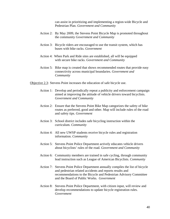can assist in prioritizing and implementing a region-wide Bicycle and Pedestrian Plan. *Government and Community* 

- Action 2: By May 2009, the Stevens Point Bicycle Map is promoted throughout the community *Government and Community*
- Action 3: Bicycle riders are encouraged to use the transit system, which has buses with bike racks. *Government*
- Action 4: When Park and Ride sites are established, all will be equipped with secure bike racks. *Government and Community*
- Action 5: Bike map is created that shows recommended routes that provide easy connectivity across municipal boundaries. *Government and Community*

Objective 2.3: Stevens Point increases the education of safe bicycle use.

- Action 1: Develop and periodically repeat a publicity and enforcement campaign aimed at improving the attitude of vehicle drivers toward bicyclists. *Government and Community*
- Action 2: Ensure that the Stevens Point Bike Map categorizes the safety of bike routes as preferred, good and other. Map will include rules of the road and safety tips. *Government*
- Action 3: School district includes safe bicycling instruction within the curriculum. *Community*
- Action 4: All new UWSP students receive bicycle rules and registration information. *Community*
- Action 5: Stevens Point Police Department actively educates vehicle drivers about bicyclists' rules of the road. *Government and Community*
- Action 6: Community members are trained in safe cycling, through community lead instruction such as League of American Bicyclists. *Community*
- Action 7: Stevens Point Police Department annually compiles the list of bicycle and pedestrian related accidents and reports results and recommendations to the Bicycle and Pedestrian Advisory Committee and the Board of Public Works. *Government*
- Action 8: Stevens Point Police Department, with citizen input, will review and develop recommendations to update bicycle registration rules. *Government*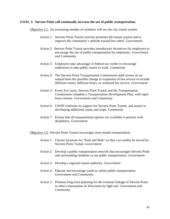#### **GOAL 3: Stevens Point will continually increase the use of public transportation.**

Objective 3.1: An increasing number of residents will use the city transit system.

- Action 1: Stevens Point Transit actively promotes the transit system and to improve the community's attitude toward bus riders. *Government*
- Action 2: Stevens Point Transit provides introductory incentives for employers to encourage the use of public transportation by employees. *Government and Community*
- Action 3: Employers take advantage of federal tax credits to encourage employees to take public transit to work. *Community*
- Action 4: The Stevens Point Transportation Commission shall review on an annual basis the possible change or expansion of bus service to include different routes, different hours, or weekend bus service. *Government*
- Action 5: Every five years, Stevens Point Transit and the Transportation Commission complete a Transportation Development Plan, with input from citizens. *Government and Community*
- Action 6: UWSP continues its support for Stevens Point Transit, and assists in developing additional routes and stops. *Community*
- Action 7: Ensure that all transportation options are available to persons with disabilities. *Government*

Objective 3.2: Stevens Point Transit encourages inter-modal transportation.

- Action 1: Choose locations for "Park and Ride" so they can readily be served by Stevens Point Transit. *Government*
- Action 2: Develop a public transportation network that encourages Stevens Point and surrounding residents to use public transportation. *Government*
- Action 3: Develop a regional transit authority. *Government*
- Action 4: Educate and encourage youth to utilize public transportation. *Government and Community*
- Action 5: Promote long-term planning for the eventual linkage of Stevens Point to other communities in Wisconsin by light rail. *Government and Community*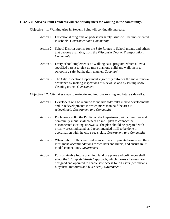#### **GOAL 4: Stevens Point residents will continually increase walking in the community.**

Objective 4.1: Walking trips in Stevens Point will continually increase.

- Action 1: Educational programs on pedestrian safety issues will be implemented in schools. *Government and Community*
- Action 2: School District applies for the Safe Routes to School grants, and others that become available, from the Wisconsin Dept of Transportation. *Community*
- Action 3: Every school implements a "Walking Bus" program, which allow a specified parent to pick up more than one child and walk them to school in a safe, but healthy manner. *Community*
- Action 3: The City Inspection Department vigorously enforces the snow removal ordinance by making inspections of sidewalks and by issuing snow cleaning orders. *Government*
- Objective 4.2: City takes steps to maintain and improve existing and future sidewalks.
	- Action 1: Developers will be required to include sidewalks in new developments and in redevelopments in which more than half the area is redeveloped. *Government and Community*
	- Action 2: By January 2009, the Public Works Department, with committee and community input, shall present an infill plan to connect the disconnected existing sidewalks. The plan should be prepared with priority areas indicated, and recommended infill to be done in coordination with the city streets plan*. Government and Community*
	- Action 3: When public dollars are used as incentives for private businesses, they must make accommodations for walkers and bikers, and ensure multimodal connections. *Government*
	- Action 4: For sustainable future planning, land use plans and ordinances shall adopt the "Complete Streets" approach, which means all streets are designed and operated to enable safe access for all users (pedestrians, bicyclists, motorists and bus riders). *Government*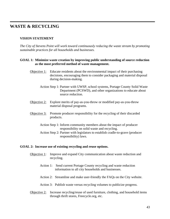## **WASTE & RECYCLING**

#### **VISION STATEMENT**

*The City of Stevens Point will work toward continuously reducing the waste stream by promoting sustainable practices for all households and businesses.* 

#### **GOAL 1: Minimize waste creation by improving public understanding of source reduction as the most preferred method of waste management.**

- Objective 1: Educate residents about the environmental impact of their purchasing decisions, encouraging them to consider packaging and material disposal during decision-making.
	- Action Step 1: Partner with UWSP, school systems, Portage County Solid Waste Department (PCSWD), and other organizations to educate about source reduction.
- Objective 2: Explore merits of pay-as-you-throw or modified pay-as-you-throw material disposal programs.
- Objective 3: Promote producer responsibility for the recycling of their discarded products.
	- Action Step 1: Inform community members about the impact of producer responsibility on solid waste and recycling.
	- Action Step 2: Partner with legislators to establish cradle-to-grave (producer responsibility) laws.

#### **GOAL 2: Increase use of existing recycling and reuse options.**

- Objective 1: Improve and expand City communication about waste reduction and recycling.
	- Action 1: Send current Portage County recycling and waste reduction information to all city households and businesses.
	- Action 2: Streamline and make user-friendly the FAQs on the City website.
	- Action 3: Publish waste versus recycling volumes to publicize progress.
- Objective 2: Increase recycling/reuse of used furniture, clothing, and household items through thrift stores, Freecycle.org, etc.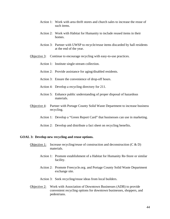- Action 1: Work with area thrift stores and church sales to increase the reuse of such items.
- Action 2: Work with Habitat for Humanity to include reused items in their homes.
- Action 3: Partner with UWSP to recycle/reuse items discarded by hall residents at the end of the year.
- Objective 3: Continue to encourage recycling with easy-to-use practices.
	- Action 1: Institute single-stream collection.
	- Action 2: Provide assistance for aging/disabled residents.
	- Action 3: Ensure the convenience of drop-off hours.
	- Action 4: Develop a recycling directory for 211.
	- Action 5: Enhance public understanding of proper disposal of hazardous materials.
- Objective 4: Partner with Portage County Solid Waste Department to increase business recycling.
	- Action 1: Develop a "Green Report Card" that businesses can use in marketing.
	- Action 2: Develop and distribute a fact sheet on recycling benefits.

#### **GOAL 3: Develop new recycling and reuse options.**

- Objective 1: Increase recycling/reuse of construction and deconstruction  $(C & D)$ materials.
	- Action 1: Promote establishment of a Habitat for Humanity Re-Store or similar facility.
	- Action 2: Promote Freecycle.org. and Portage County Solid Waste Department exchange site.
	- Action 3: Seek recycling/reuse ideas from local builders.
- Objective 2: Work with Association of Downtown Businesses (ADB) to provide convenient recycling options for downtown businesses, shoppers, and pedestrians.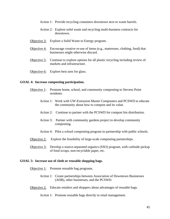- Action 1: Provide recycling containers downtown next to waste barrels.
- Action 2: Explore solid waste and recycling multi-business contracts for downtown.
- Objective 3: Explore a Solid Waste to Energy program.
- Objective 4: Encourage creative re-use of items (e.g., mattresses, clothing, food) that businesses might otherwise discard.
- Objective 5: Continue to explore options for all plastic recycling including review of markets and infrastructure.
- Objective 6: Explore best uses for glass.

#### **GOAL 4: Increase composting participation.**

- Objective 1: Promote home, school, and community composting to Stevens Point residents.
	- Action 1: Work with UW-Extension Master Composters and PCSWD to educate the community about how to compost and its value.
	- Action 2: Continue to partner with the PCSWD for compost bin distribution.
	- Action 3: Partner with community gardens project to develop community composting.
	- Action 4: Pilot a school composting program in partnership with public schools.
- Objective 2: Explore the feasibility of large-scale composting partnerships.
- Objective 3: Develop a source-separated organics (SSO) program, with curbside pickup of food scraps, non-recyclable paper, etc.

#### **GOAL 5: Increase use of cloth or reusable shopping bags.**

- Objective 1: Promote reusable bag programs.
	- Action 1: Create partnerships between Association of Downtown Businesses (ADB), other businesses, and the PCSWD.
- Objective 2: Educate retailers and shoppers about advantages of reusable bags.

Action 1: Promote reusable bags directly to retail management.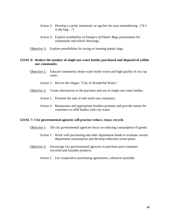- Action 2: Develop a catchy mnemonic or tag line for easy remembering. ("It's in the bag…")
- Action 3: Explore availability of *Dangers of Plastic Bags* presentation for community and school showings.
- Objective 3: Explore possibilities for taxing or banning plastic bags.

#### **GOAL 6: Reduce the number of single-use water bottles purchased and disposed of within our community.**

Objective 1: Educate community about water bottle waste and high quality of city tap water.

Action 1: Revive the slogan: "City of Wonderful Water."

Objective 2: Create alternatives to the purchase and use of single-use water bottles.

Action 1: Promote the sale of safe multi-use containers.

Action 2: Restaurants and appropriate retailers promote and provide means for customers to refill bottles with city water.

#### **GOAL 7: City governmental agencies will practice reduce, reuse, recycle.**

- Objective 1: All city governmental agencies focus on reducing consumption of goods.
	- Action 1: Work with purchasing and other department heads to evaluate current department consumption and develop reduction action plans.
- Objective 2: Encourage city governmental agencies to purchase post-consumer recycled and reusable products.
	- Action 1: Use cooperative purchasing agreements, whenever possible.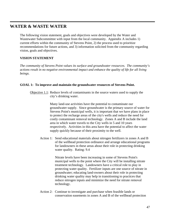## **WATER & WASTE WATER**

The following vision statement, goals and objectives were developed by the Water and Wastewater Subcommittee with input from the local community. Appendix A includes 1) current efforts within the community of Stevens Point, 2) the process used to prioritize recommendations for future actions, and 3) information solicited from the community regarding vision, goals and objectives.

#### **VISION STATEMENT**

*The community of Stevens Point values its surface and groundwater resources. The community's actions result in no negative environmental impact and enhance the quality of life for all living beings.* 

#### **GOAL 1: To improve and maintain the groundwater resources of Stevens Point.**

Objective 1.1: Reduce levels of contaminants in the source waters used to supply the city's drinking water.

> Many land-use activities have the potential to contaminate our groundwater supply. Since groundwater is the primary source of water for Stevens Point's municipal wells, it is important that we have plans in place to protect the recharge areas of the city's wells and reduce the need for costly contaminant removal technology. Zones A and B include the land area in which water travels to the City wells in 5 and 10 years respectively. Activities in this area have the potential to affect the water supply quickly because of their proximity to the well.

Action 1: Send educational materials about nitrogen fertilizers in zones A and B of the wellhead protection ordinance and arrange educational programs for landowners in these areas about their role in protecting drinking water quality. Rating: 9.4

> Nitrate levels have been increasing in some of Stevens Point's municipal wells to the point where the City will be installing nitrate treatment technology. Landowners have a critical role to play in protecting water quality. Fertilizer inputs are one source of nitrate in groundwater; educating land-owners about their role in protecting drinking water quality may help in transitioning to practices that reduce nitrogen inputs and minimize the need for nitrate removal technology.

Action 2: Continue to investigate and purchase when feasible lands or conservation easements in zones A and B of the wellhead protection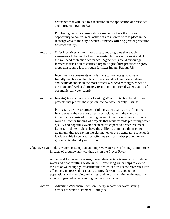ordinance that will lead to a reduction in the application of pesticides and nitrogen. Rating: 8.2

 Purchasing lands or conservation easements offers the city an opportunity to control what activities are allowed to take place in the recharge area of the City's wells; ultimately offering greater protection of water quality.

Action 3: Offer incentives and/or investigate grant programs that enable agreements to be reached with interested farmers in zones A and B of the wellhead protection ordinance. Agreements could encourage farmers to transition to certified organic agriculture practices or grow crops that require less nitrogen fertilizer inputs. Rating: 7.8

> Incentives or agreements with farmers to promote groundwater friendly practices within those zones would help to reduce nitrogen and pesticide inputs in the most critical wellhead recharges zones of the municipal wells; ultimately resulting in improved water quality of our municipal water supply.

Action 4: Investigate the creation of a Drinking Water Protection Fund to fund projects that protect the city's municipal water supply. Rating: 7.6

> Projects that work to protect drinking water quality are difficult to fund because they are not directly associated with the energy or infrastructure costs of providing water. A dedicated source of funds would allow for funding of projects that work towards protecting water quality and hopefully avoid the need for expensive water treatment. Long-term these projects have the ability to eliminate the need for treatment; thereby saving the city money or even generating revenue if lands are able to be used for activities such as timber production or groundwater-friendly agriculture.

Objective 1.2: Reduce water consumption and improve water use efficiency to minimize impacts of groundwater withdrawals on the Plover River.

> As demand for water increases, more infrastructure is needed to produce water and treat resulting wastewater. Conserving water helps to extend the life of water supply infrastructure; which in turn keeps water rates low, effectively increases the capacity to provide water to expanding populations and emerging industries, and helps to minimize the negative effects of groundwater pumping on the Plover River.

Action 1: Advertise Wisconsin Focus on Energy rebates for water-saving devices to water customers. Rating: 8.0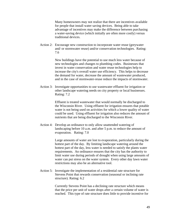Many homeowners may not realize that there are incentives available for people that install water saving devices. Being able to take advantage of incentives may make the difference between purchasing a water-saving device (which initially are often more costly) versus traditional devices.

Action 2: Encourage new construction to incorporate water reuse (greywater and/ or stormwater reuse) and/or conservation technologies. Rating: 7.6

> New buildings have the potential to use much less water because of new technologies and changes to plumbing codes. Businesses that invest in water conservation and water reuse technologies help to increase the city's overall water use efficiency. This helps to decrease the demand for water, decrease the amount of wastewater produced, and in the case of stormwater-reuse reduce the impacts of stormwater.

Action 3: Investigate opportunities to use wastewater effluent for irrigation or other landscape watering needs on city property or local businesses. Rating: 7.2

> Effluent is treated wastewater that would normally be discharged to the Wisconsin River. Using effluent for irrigation ensures that potable water is not being used on activities for which a lower quality of water could be used. Using effluent for irrigation also reduces the amount of nutrients that are being discharged to the Wisconsin River.

Action 4: Develop an ordinance to only allow unattended watering of landscaping before 10 a.m. and after 5 p.m. to reduce the amount of evaporation. Rating: 7.0

> Large amounts of water are lost to evaporation, particularly during the hottest part of the day. By limiting landscape watering around the hottest part of the day, less water is needed to satisfy the plants water requirements. An ordinance ensures that the city has the authority to limit water use during periods of drought when using large amounts of water can put stress on the water system. Every other day lawn water restrictions may also be an alternative tool.

Action 5: Investigate the implementation of a residential rate structure for Stevens Point that rewards conservation (seasonal or inclining rate structure). Rating: 6.2

> Currently Stevens Point has a declining rate structure which means that the price per unit of water drops after a certain volume of water is reached. This type of rate structure does little to provide incentive for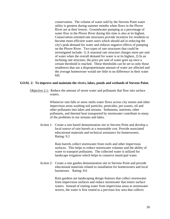conservation. The volume of water sold by the Stevens Point water utility is greatest during summer months when flows in the Plover River are at their lowest. Groundwater pumping as a percentage of water flow in the Plover River during this time is also at its highest. Conservation oriented rate structures provide incentive for residents to become more efficient water users which should aid in reducing the city's peak demand for water and reduces negative effects of pumping on the Plover River. Two types of rate structures that could be investigated include: 1) A seasonal rate structure charges more per unit of water when the overall demand for water is at its highest, 2) In an inclining rate structure, the price per unit of water goes up once a certain threshold is reached. These thresholds can be set so only those residences that use a disproportionate amount of water are affected and the average homeowner would see little to no difference in their water bill.

#### **GOAL 2: To improve and maintain the rivers, lakes, ponds and wetlands of Stevens Point.**

Objective 2.1: Reduce the amount of storm water and pollutants that flow into surface waters.

> Whenever rain falls or snow melts water flows across city streets and other impervious areas washing soil particles, pesticides, pet wastes, oil and other pollutants into lakes and streams. Sediments, nutrients, other pollutants, and thermal heat transported by stormwater contribute to many of the problems in our streams and lakes.

Action 1: Create a rain barrel demonstration site in Stevens Point and develop a local source of rain barrels at a reasonable cost. Provide associated educational materials and technical assistance for homeowners. Rating: 9.2

> Rain barrels collect stormwater from roofs and other impervious surfaces. This helps to reduce stormwater volumes and the ability of water to transport pollutants. The collected water is utilized for landscape irrigation which helps to conserve municipal water.

Action 2: Create a rain garden demonstration site in Stevens Point and provide educational materials related to installation for homeowners and local businesses. Rating: 8.6

> Rain gardens are landscaping design features that collect stormwater from impervious surfaces and reduce stormwater that enters surface waters. Instead of routing water from impervious areas to stormwater sewers, the water is first routed to a pervious low area that collects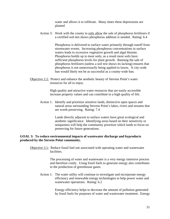water and allows it to infiltrate. Many times these depressions are planted

Action 3: Work with the county to only allow the sale of phosphorus fertilizers if a certified soil test shows phosphorus addition is needed. Rating: 6.4

> Phosphorus is delivered to surface water primarily through runoff from stormwater events. Increasing phosphorus concentrations in surface waters leads to excessive vegetative growth and algal blooms. Phosphorus builds up in most soils; as a result most soils have sufficient phosphorus levels for plant growth. Banning the sale of phosphorus fertilizers (unless a soil test shows its lacking) ensures that phosphorus is not unnecessarily being applied to lawns. A city-wide ban would likely not be as successful as a county-wide ban.

Objective 2.2: Protect and enhance the aesthetic beauty of Stevens Point's water resources for all to enjoy.

> High quality and attractive water resources that are easily accessible increase property values and can contribute to a high quality of life.

Action 1: Identify and prioritize sensitive lands, distinctive open spaces and natural areas surrounding Stevens Point's lakes, rivers and streams that are worth preserving. Rating: 7.4

> Lands directly adjacent to surface waters have great ecological and aesthetic significance. Identifying areas based on their sensitivity or uniqueness will help the community prioritize which lands to focus on preserving for future generations.

#### **GOAL 3: To reduce environmental impacts of wastewater discharge and byproducts produced by the Stevens Point community.**

Objective 3.1: Reduce fossil fuel use associated with operating water and wastewater facilities.

> The processing of water and wastewater is a very energy intensive process and therefore costly. Using fossil fuels to generate energy also contributes to the production of greenhouse gases.

Action 1: The water utility will continue to investigate and incorporate energy efficiency and renewable energy technologies to help power water and wastewater operations. Rating: 6.2

> Energy efficiency helps to decrease the amount of pollution generated by fossil fuels for purposes of water and wastewater treatment. Energy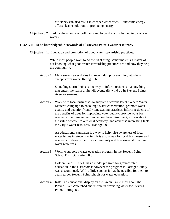efficiency can also result in cheaper water rates. Renewable energy offers cleaner solutions to producing energy.

Objective 3.2: Reduce the amount of pollutants and byproducts discharged into surface waters.

#### **GOAL 4: To be knowledgeable stewards of all Stevens Point's water resources.**

Objective 4.1: Education and promotion of good water stewardship practices.

While most people want to do the right thing, sometimes it's a matter of not knowing what good water stewardship practices are and how they help the community.

Action 1: Mark storm sewer drains to prevent dumping anything into them except storm water. Rating: 9.6

> Stenciling storm drains is one way to inform residents that anything that enters the storm drain will eventually wind up In Stevens Point's rivers or streams.

Action 2: Work with local businesses to support a Stevens Point "Where Water Matters" campaign to encourage water conservation, promote water quality and quantity friendly landscaping practices, inform residents of the benefits of trees for improving water quality, provide ways for residents to minimize their impact on the environment, inform about the value of water to our local economy, and advertise interesting facts the City's water resources. Rating: 9.0

> An educational campaign is a way to help raise awareness of local water issues in Stevens Point. It is also a way for local businesses and residents to show pride in our community and take ownership of our water resources.

Action 3: Work to support a water education program in the Stevens Point School District. Rating: 8.6

> Golden Sands RC & D has a model program for groundwater education in the classrooms; however the program in Portage County was discontinued. With a little support it may be possible for them to again target Stevens Point schools for water education.

Action 4: Install an educational display on the Green Circle Trail about the Plover River Watershed and its role in providing water for Stevens Point. Rating: 8.2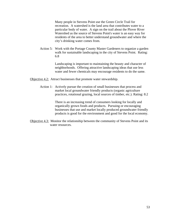Many people in Stevens Point use the Green Circle Trail for recreation. A watershed is the land area that contributes water to a particular body of water. A sign on the trail about the Plover River Watershed as the source of Stevens Point's water is an easy way for residents of the area to better understand groundwater and where the city's drinking water comes from.

Action 5: Work with the Portage County Master Gardeners to organize a garden walk for sustainable landscaping in the city of Stevens Point. Rating: 6.8

> Landscaping is important to maintaining the beauty and character of neighborhoods. Offering attractive landscaping ideas that use less water and fewer chemicals may encourage residents to do the same.

Objective 4.2: Attract businesses that promote water stewardship.

Action 1: Actively pursue the creation of small businesses that process and market local groundwater friendly products (organic agriculture practices, rotational grazing, local sources of timber, etc.). Rating: 8.2

> There is an increasing trend of consumers looking for locally and organically grown foods and products. Pursuing or encouraging businesses that use and market locally produced groundwater friendly products is good for the environment and good for the local economy.

Objective 4.3: Monitor the relationship between the community of Stevens Point and its water resources.